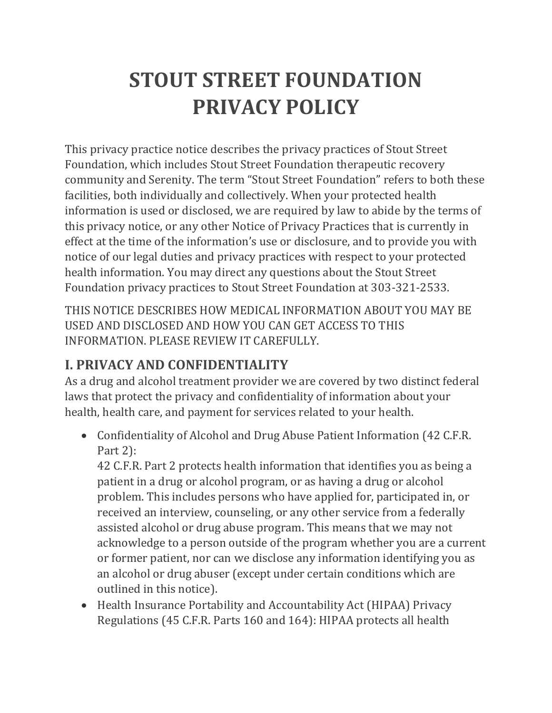# **STOUT STREET FOUNDATION PRIVACY POLICY**

This privacy practice notice describes the privacy practices of Stout Street Foundation, which includes Stout Street Foundation therapeutic recovery community and Serenity. The term "Stout Street Foundation" refers to both these facilities, both individually and collectively. When your protected health information is used or disclosed, we are required by law to abide by the terms of this privacy notice, or any other Notice of Privacy Practices that is currently in effect at the time of the information's use or disclosure, and to provide you with notice of our legal duties and privacy practices with respect to your protected health information. You may direct any questions about the Stout Street Foundation privacy practices to Stout Street Foundation at 303-321-2533.

THIS NOTICE DESCRIBES HOW MEDICAL INFORMATION ABOUT YOU MAY BE USED AND DISCLOSED AND HOW YOU CAN GET ACCESS TO THIS INFORMATION. PLEASE REVIEW IT CAREFULLY.

# **I. PRIVACY AND CONFIDENTIALITY**

As a drug and alcohol treatment provider we are covered by two distinct federal laws that protect the privacy and confidentiality of information about your health, health care, and payment for services related to your health.

• Confidentiality of Alcohol and Drug Abuse Patient Information (42 C.F.R.) Part 2):

42 C.F.R. Part 2 protects health information that identifies you as being a patient in a drug or alcohol program, or as having a drug or alcohol problem. This includes persons who have applied for, participated in, or received an interview, counseling, or any other service from a federally assisted alcohol or drug abuse program. This means that we may not acknowledge to a person outside of the program whether you are a current or former patient, nor can we disclose any information identifying you as an alcohol or drug abuser (except under certain conditions which are outlined in this notice).

• Health Insurance Portability and Accountability Act (HIPAA) Privacy Regulations (45 C.F.R. Parts 160 and 164): HIPAA protects all health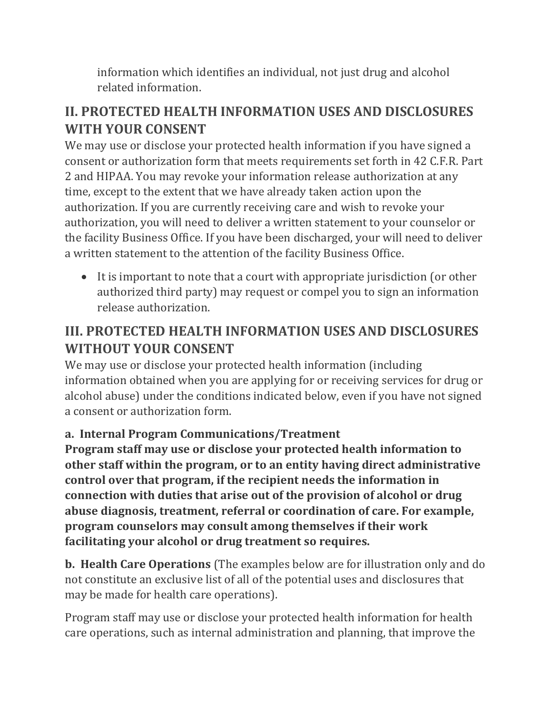information which identifies an individual, not just drug and alcohol related information.

# **II. PROTECTED HEALTH INFORMATION USES AND DISCLOSURES WITH YOUR CONSENT**

We may use or disclose your protected health information if you have signed a consent or authorization form that meets requirements set forth in 42 C.F.R. Part 2 and HIPAA. You may revoke your information release authorization at any time, except to the extent that we have already taken action upon the authorization. If you are currently receiving care and wish to revoke your authorization, you will need to deliver a written statement to your counselor or the facility Business Office. If you have been discharged, your will need to deliver a written statement to the attention of the facility Business Office.

• It is important to note that a court with appropriate jurisdiction (or other authorized third party) may request or compel you to sign an information release authorization.

# **III. PROTECTED HEALTH INFORMATION USES AND DISCLOSURES WITHOUT YOUR CONSENT**

We may use or disclose your protected health information (including information obtained when you are applying for or receiving services for drug or alcohol abuse) under the conditions indicated below, even if you have not signed a consent or authorization form.

## **a. Internal Program Communications/Treatment**

**Program staff may use or disclose your protected health information to other staff within the program, or to an entity having direct administrative control over that program, if the recipient needs the information in connection with duties that arise out of the provision of alcohol or drug abuse diagnosis, treatment, referral or coordination of care. For example, program counselors may consult among themselves if their work facilitating your alcohol or drug treatment so requires.**

**b. Health Care Operations** (The examples below are for illustration only and do not constitute an exclusive list of all of the potential uses and disclosures that may be made for health care operations).

Program staff may use or disclose your protected health information for health care operations, such as internal administration and planning, that improve the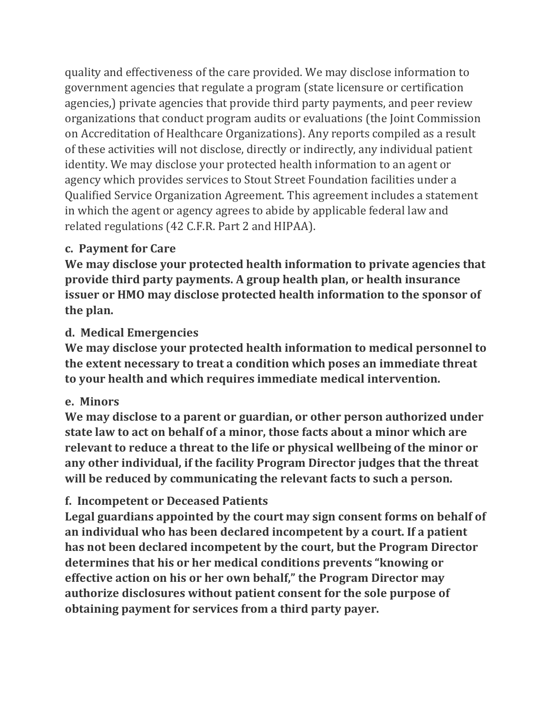quality and effectiveness of the care provided. We may disclose information to government agencies that regulate a program (state licensure or certification agencies,) private agencies that provide third party payments, and peer review organizations that conduct program audits or evaluations (the Joint Commission on Accreditation of Healthcare Organizations). Any reports compiled as a result of these activities will not disclose, directly or indirectly, any individual patient identity. We may disclose your protected health information to an agent or agency which provides services to Stout Street Foundation facilities under a Qualified Service Organization Agreement. This agreement includes a statement in which the agent or agency agrees to abide by applicable federal law and related regulations (42 C.F.R. Part 2 and HIPAA).

### **c. Payment for Care**

**We may disclose your protected health information to private agencies that provide third party payments. A group health plan, or health insurance issuer or HMO may disclose protected health information to the sponsor of the plan.**

### **d. Medical Emergencies**

**We may disclose your protected health information to medical personnel to the extent necessary to treat a condition which poses an immediate threat to your health and which requires immediate medical intervention.**

### **e. Minors**

**We may disclose to a parent or guardian, or other person authorized under state law to act on behalf of a minor, those facts about a minor which are relevant to reduce a threat to the life or physical wellbeing of the minor or any other individual, if the facility Program Director judges that the threat will be reduced by communicating the relevant facts to such a person.**

## **f. Incompetent or Deceased Patients**

**Legal guardians appointed by the court may sign consent forms on behalf of an individual who has been declared incompetent by a court. If a patient has not been declared incompetent by the court, but the Program Director determines that his or her medical conditions prevents "knowing or effective action on his or her own behalf," the Program Director may authorize disclosures without patient consent for the sole purpose of obtaining payment for services from a third party payer.**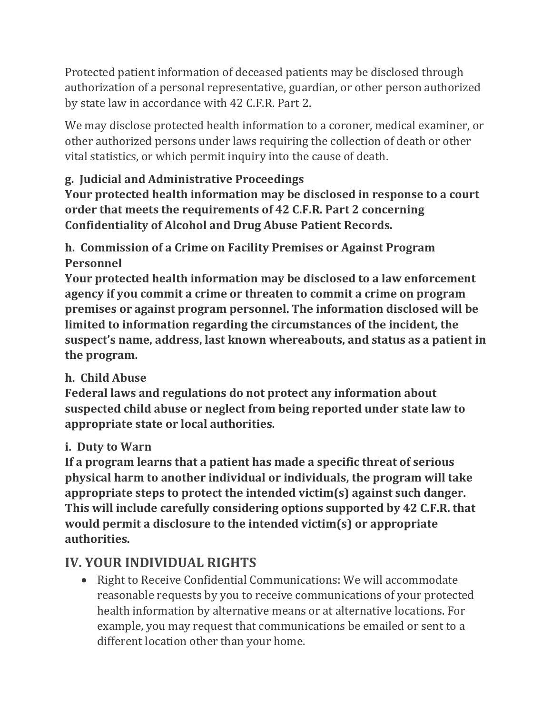Protected patient information of deceased patients may be disclosed through authorization of a personal representative, guardian, or other person authorized by state law in accordance with 42 C.F.R. Part 2.

We may disclose protected health information to a coroner, medical examiner, or other authorized persons under laws requiring the collection of death or other vital statistics, or which permit inquiry into the cause of death.

## **g. Judicial and Administrative Proceedings**

**Your protected health information may be disclosed in response to a court order that meets the requirements of 42 C.F.R. Part 2 concerning Confidentiality of Alcohol and Drug Abuse Patient Records.**

**h. Commission of a Crime on Facility Premises or Against Program Personnel**

**Your protected health information may be disclosed to a law enforcement agency if you commit a crime or threaten to commit a crime on program premises or against program personnel. The information disclosed will be limited to information regarding the circumstances of the incident, the suspect's name, address, last known whereabouts, and status as a patient in the program.**

## **h. Child Abuse**

**Federal laws and regulations do not protect any information about suspected child abuse or neglect from being reported under state law to appropriate state or local authorities.**

## **i. Duty to Warn**

**If a program learns that a patient has made a specific threat of serious physical harm to another individual or individuals, the program will take appropriate steps to protect the intended victim(s) against such danger. This will include carefully considering options supported by 42 C.F.R. that would permit a disclosure to the intended victim(s) or appropriate authorities.**

# **IV. YOUR INDIVIDUAL RIGHTS**

• Right to Receive Confidential Communications: We will accommodate reasonable requests by you to receive communications of your protected health information by alternative means or at alternative locations. For example, you may request that communications be emailed or sent to a different location other than your home.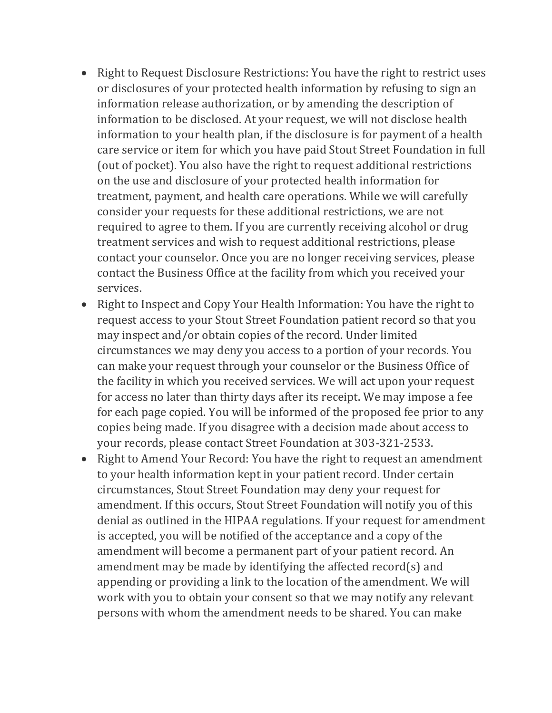- Right to Request Disclosure Restrictions: You have the right to restrict uses or disclosures of your protected health information by refusing to sign an information release authorization, or by amending the description of information to be disclosed. At your request, we will not disclose health information to your health plan, if the disclosure is for payment of a health care service or item for which you have paid Stout Street Foundation in full (out of pocket). You also have the right to request additional restrictions on the use and disclosure of your protected health information for treatment, payment, and health care operations. While we will carefully consider your requests for these additional restrictions, we are not required to agree to them. If you are currently receiving alcohol or drug treatment services and wish to request additional restrictions, please contact your counselor. Once you are no longer receiving services, please contact the Business Office at the facility from which you received your services.
- Right to Inspect and Copy Your Health Information: You have the right to request access to your Stout Street Foundation patient record so that you may inspect and/or obtain copies of the record. Under limited circumstances we may deny you access to a portion of your records. You can make your request through your counselor or the Business Office of the facility in which you received services. We will act upon your request for access no later than thirty days after its receipt. We may impose a fee for each page copied. You will be informed of the proposed fee prior to any copies being made. If you disagree with a decision made about access to your records, please contact Street Foundation at 303-321-2533.
- Right to Amend Your Record: You have the right to request an amendment to your health information kept in your patient record. Under certain circumstances, Stout Street Foundation may deny your request for amendment. If this occurs, Stout Street Foundation will notify you of this denial as outlined in the HIPAA regulations. If your request for amendment is accepted, you will be notified of the acceptance and a copy of the amendment will become a permanent part of your patient record. An amendment may be made by identifying the affected record(s) and appending or providing a link to the location of the amendment. We will work with you to obtain your consent so that we may notify any relevant persons with whom the amendment needs to be shared. You can make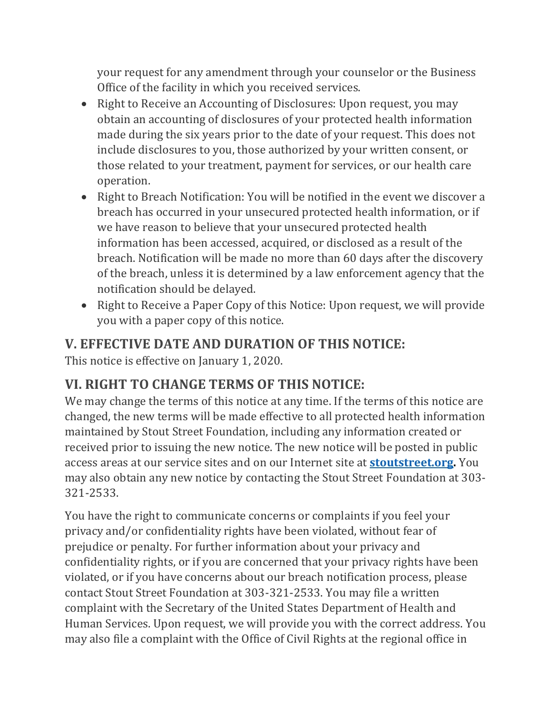your request for any amendment through your counselor or the Business Office of the facility in which you received services.

- Right to Receive an Accounting of Disclosures: Upon request, you may obtain an accounting of disclosures of your protected health information made during the six years prior to the date of your request. This does not include disclosures to you, those authorized by your written consent, or those related to your treatment, payment for services, or our health care operation.
- Right to Breach Notification: You will be notified in the event we discover a breach has occurred in your unsecured protected health information, or if we have reason to believe that your unsecured protected health information has been accessed, acquired, or disclosed as a result of the breach. Notification will be made no more than 60 days after the discovery of the breach, unless it is determined by a law enforcement agency that the notification should be delayed.
- Right to Receive a Paper Copy of this Notice: Upon request, we will provide you with a paper copy of this notice.

# **V. EFFECTIVE DATE AND DURATION OF THIS NOTICE:**

This notice is effective on January 1, 2020.

# **VI. RIGHT TO CHANGE TERMS OF THIS NOTICE:**

We may change the terms of this notice at any time. If the terms of this notice are changed, the new terms will be made effective to all protected health information maintained by Stout Street Foundation, including any information created or received prior to issuing the new notice. The new notice will be posted in public access areas at our service sites and on our Internet site at **[stoutstreet.org.](https://stoutstreet.org/)** You may also obtain any new notice by contacting the Stout Street Foundation at 303- 321-2533.

You have the right to communicate concerns or complaints if you feel your privacy and/or confidentiality rights have been violated, without fear of prejudice or penalty. For further information about your privacy and confidentiality rights, or if you are concerned that your privacy rights have been violated, or if you have concerns about our breach notification process, please contact Stout Street Foundation at 303-321-2533. You may file a written complaint with the Secretary of the United States Department of Health and Human Services. Upon request, we will provide you with the correct address. You may also file a complaint with the Office of Civil Rights at the regional office in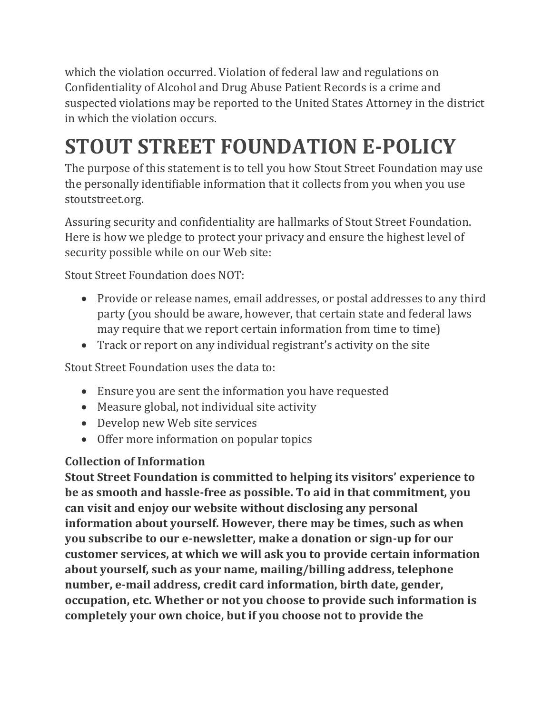which the violation occurred. Violation of federal law and regulations on Confidentiality of Alcohol and Drug Abuse Patient Records is a crime and suspected violations may be reported to the United States Attorney in the district in which the violation occurs.

# **STOUT STREET FOUNDATION E-POLICY**

The purpose of this statement is to tell you how Stout Street Foundation may use the personally identifiable information that it collects from you when you use stoutstreet.org.

Assuring security and confidentiality are hallmarks of Stout Street Foundation. Here is how we pledge to protect your privacy and ensure the highest level of security possible while on our Web site:

Stout Street Foundation does NOT:

- Provide or release names, email addresses, or postal addresses to any third party (you should be aware, however, that certain state and federal laws may require that we report certain information from time to time)
- Track or report on any individual registrant's activity on the site

Stout Street Foundation uses the data to:

- Ensure you are sent the information you have requested
- Measure global, not individual site activity
- Develop new Web site services
- Offer more information on popular topics

## **Collection of Information**

**Stout Street Foundation is committed to helping its visitors' experience to be as smooth and hassle-free as possible. To aid in that commitment, you can visit and enjoy our website without disclosing any personal information about yourself. However, there may be times, such as when you subscribe to our e-newsletter, make a donation or sign-up for our customer services, at which we will ask you to provide certain information about yourself, such as your name, mailing/billing address, telephone number, e-mail address, credit card information, birth date, gender, occupation, etc. Whether or not you choose to provide such information is completely your own choice, but if you choose not to provide the**